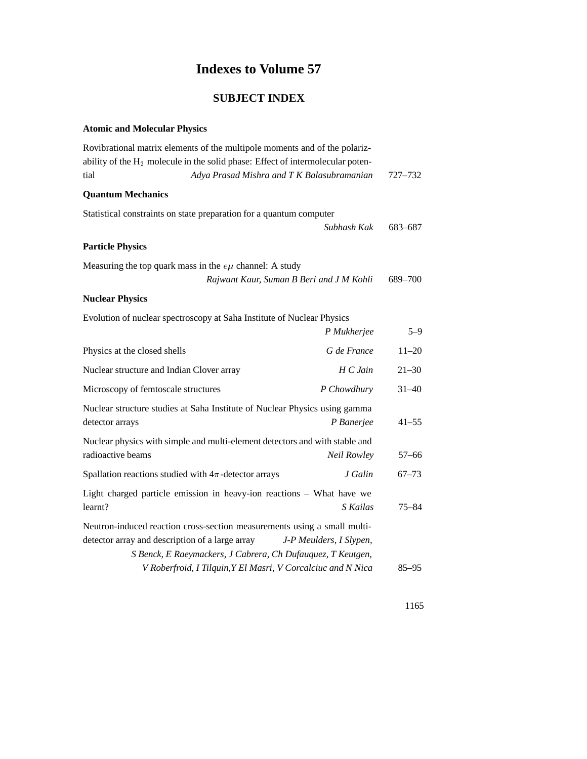## **Indexes to Volume 57**

## **SUBJECT INDEX**

## **Atomic and Molecular Physics**

| Rovibrational matrix elements of the multipole moments and of the polariz-                                                  |           |
|-----------------------------------------------------------------------------------------------------------------------------|-----------|
| ability of the $H_2$ molecule in the solid phase: Effect of intermolecular poten-                                           |           |
| Adya Prasad Mishra and T K Balasubramanian<br>tial                                                                          | 727–732   |
| <b>Quantum Mechanics</b>                                                                                                    |           |
| Statistical constraints on state preparation for a quantum computer<br>Subhash Kak                                          |           |
|                                                                                                                             | 683–687   |
| <b>Particle Physics</b>                                                                                                     |           |
| Measuring the top quark mass in the $e\mu$ channel: A study                                                                 |           |
| Rajwant Kaur, Suman B Beri and J M Kohli                                                                                    | 689-700   |
| <b>Nuclear Physics</b>                                                                                                      |           |
| Evolution of nuclear spectroscopy at Saha Institute of Nuclear Physics                                                      |           |
| P Mukherjee                                                                                                                 | $5 - 9$   |
| G de France<br>Physics at the closed shells                                                                                 | $11 - 20$ |
| Nuclear structure and Indian Clover array<br>$H\mathcal{C}$ Jain                                                            | $21 - 30$ |
| Microscopy of femtoscale structures<br>P Chowdhury                                                                          | $31 - 40$ |
| Nuclear structure studies at Saha Institute of Nuclear Physics using gamma                                                  |           |
| P Banerjee<br>detector arrays                                                                                               | $41 - 55$ |
| Nuclear physics with simple and multi-element detectors and with stable and                                                 |           |
| radioactive beams<br>Neil Rowley                                                                                            | $57 - 66$ |
| J Galin<br>Spallation reactions studied with $4\pi$ -detector arrays                                                        | $67 - 73$ |
| Light charged particle emission in heavy-ion reactions - What have we                                                       |           |
| learnt?<br>S Kailas                                                                                                         | $75 - 84$ |
| Neutron-induced reaction cross-section measurements using a small multi-                                                    |           |
| detector array and description of a large array<br>J-P Meulders, I Slypen,                                                  |           |
| S Benck, E Raeymackers, J Cabrera, Ch Dufauquez, T Keutgen,<br>V Roberfroid, I Tilquin, Y El Masri, V Corcalciuc and N Nica | $85 - 95$ |
|                                                                                                                             |           |

1165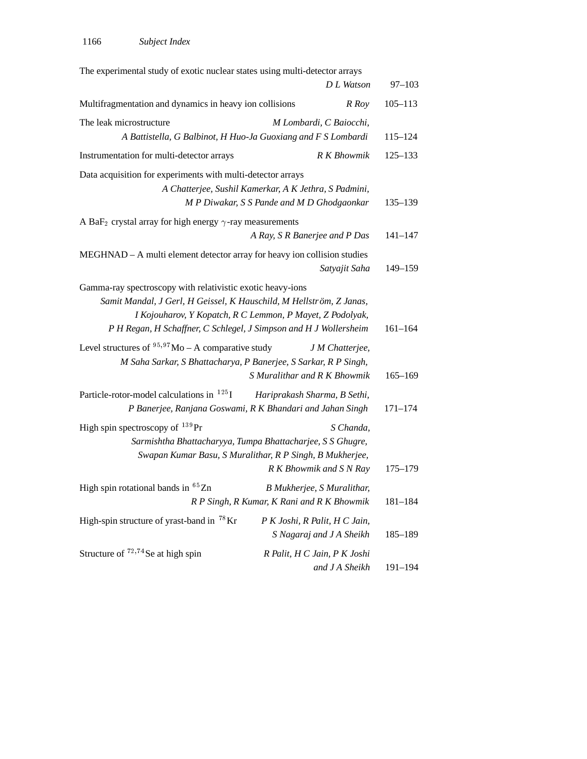| The experimental study of exotic nuclear states using multi-detector arrays                                                                                                                            |                                                                                                                                                                |             |
|--------------------------------------------------------------------------------------------------------------------------------------------------------------------------------------------------------|----------------------------------------------------------------------------------------------------------------------------------------------------------------|-------------|
|                                                                                                                                                                                                        | D L Watson                                                                                                                                                     | $97 - 103$  |
| Multifragmentation and dynamics in heavy ion collisions                                                                                                                                                | R Roy                                                                                                                                                          | $105 - 113$ |
| The leak microstructure                                                                                                                                                                                | M Lombardi, C Baiocchi,                                                                                                                                        |             |
|                                                                                                                                                                                                        | A Battistella, G Balbinot, H Huo-Ja Guoxiang and F S Lombardi                                                                                                  | $115 - 124$ |
| Instrumentation for multi-detector arrays                                                                                                                                                              | R K Bhowmik                                                                                                                                                    | $125 - 133$ |
| Data acquisition for experiments with multi-detector arrays                                                                                                                                            | A Chatterjee, Sushil Kamerkar, A K Jethra, S Padmini,                                                                                                          |             |
|                                                                                                                                                                                                        | M P Diwakar, S S Pande and M D Ghodgaonkar                                                                                                                     | $135 - 139$ |
| A BaF <sub>2</sub> crystal array for high energy $\gamma$ -ray measurements                                                                                                                            |                                                                                                                                                                |             |
|                                                                                                                                                                                                        | A Ray, S R Banerjee and P Das                                                                                                                                  | $141 - 147$ |
| MEGHNAD - A multi element detector array for heavy ion collision studies                                                                                                                               | Satyajit Saha                                                                                                                                                  | 149-159     |
| Gamma-ray spectroscopy with relativistic exotic heavy-ions<br>Samit Mandal, J Gerl, H Geissel, K Hauschild, M Hellström, Z Janas,<br>P H Regan, H Schaffner, C Schlegel, J Simpson and H J Wollersheim | I Kojouharov, Y Kopatch, R C Lemmon, P Mayet, Z Podolyak,                                                                                                      | $161 - 164$ |
| Level structures of $^{95,97}$ Mo – A comparative study                                                                                                                                                | J M Chatterjee,<br>M Saha Sarkar, S Bhattacharya, P Banerjee, S Sarkar, R P Singh,<br>S Muralithar and R K Bhowmik                                             | $165 - 169$ |
| Particle-rotor-model calculations in $^{125}$ I                                                                                                                                                        | Hariprakash Sharma, B Sethi,<br>P Banerjee, Ranjana Goswami, R K Bhandari and Jahan Singh                                                                      | $171 - 174$ |
| High spin spectroscopy of $^{139}$ Pr                                                                                                                                                                  | S Chanda,<br>Sarmishtha Bhattacharyya, Tumpa Bhattacharjee, S S Ghugre,<br>Swapan Kumar Basu, S Muralithar, R P Singh, B Mukherjee,<br>R K Bhowmik and S N Ray | $175 - 179$ |
| High spin rotational bands in <sup>65</sup> Zn                                                                                                                                                         | B Mukherjee, S Muralithar,<br>R P Singh, R Kumar, K Rani and R K Bhowmik                                                                                       | $181 - 184$ |
| High-spin structure of yrast-band in <sup>78</sup> Kr                                                                                                                                                  | P K Joshi, R Palit, H C Jain,<br>S Nagaraj and J A Sheikh                                                                                                      | 185-189     |
| Structure of $72,74$ Se at high spin                                                                                                                                                                   | R Palit, H C Jain, P K Joshi<br>and J A Sheikh                                                                                                                 | $191 - 194$ |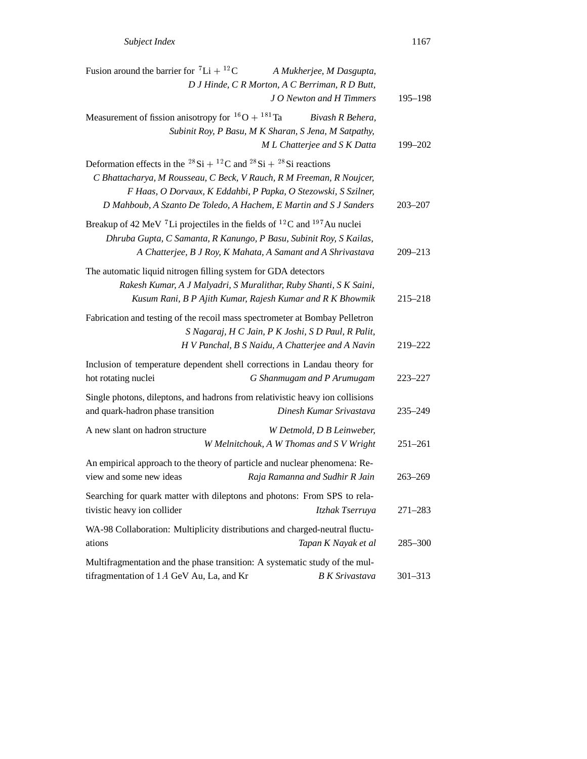| Fusion around the barrier for ${}^{7}Li + {}^{12}C$                                                                                                                                                                                                                                                                            | A Mukherjee, M Dasgupta,                                                                                 |             |
|--------------------------------------------------------------------------------------------------------------------------------------------------------------------------------------------------------------------------------------------------------------------------------------------------------------------------------|----------------------------------------------------------------------------------------------------------|-------------|
|                                                                                                                                                                                                                                                                                                                                | D J Hinde, C R Morton, A C Berriman, R D Butt,<br>J O Newton and H Timmers                               | $195 - 198$ |
| Measurement of fission anisotropy for ${}^{16}O + {}^{181}Ta$                                                                                                                                                                                                                                                                  | Bivash R Behera,<br>Subinit Roy, P Basu, M K Sharan, S Jena, M Satpathy,<br>M L Chatterjee and S K Datta | 199-202     |
| Deformation effects in the <sup>28</sup> Si + <sup>12</sup> C and <sup>28</sup> Si + <sup>28</sup> Si reactions<br>C Bhattacharya, M Rousseau, C Beck, V Rauch, R M Freeman, R Noujcer,<br>F Haas, O Dorvaux, K Eddahbi, P Papka, O Stezowski, S Szilner,<br>D Mahboub, A Szanto De Toledo, A Hachem, E Martin and S J Sanders |                                                                                                          | $203 - 207$ |
| Breakup of 42 MeV <sup>7</sup> Li projectiles in the fields of <sup>12</sup> C and <sup>197</sup> Au nuclei<br>Dhruba Gupta, C Samanta, R Kanungo, P Basu, Subinit Roy, S Kailas,                                                                                                                                              | A Chatterjee, B J Roy, K Mahata, A Samant and A Shrivastava                                              | $209 - 213$ |
| The automatic liquid nitrogen filling system for GDA detectors<br>Rakesh Kumar, A J Malyadri, S Muralithar, Ruby Shanti, S K Saini,                                                                                                                                                                                            | Kusum Rani, B P Ajith Kumar, Rajesh Kumar and R K Bhowmik                                                | $215 - 218$ |
| Fabrication and testing of the recoil mass spectrometer at Bombay Pelletron                                                                                                                                                                                                                                                    | S Nagaraj, H C Jain, P K Joshi, S D Paul, R Palit,<br>H V Panchal, B S Naidu, A Chatterjee and A Navin   | 219-222     |
| Inclusion of temperature dependent shell corrections in Landau theory for<br>hot rotating nuclei                                                                                                                                                                                                                               | G Shanmugam and P Arumugam                                                                               | 223–227     |
| Single photons, dileptons, and hadrons from relativistic heavy ion collisions<br>and quark-hadron phase transition                                                                                                                                                                                                             | Dinesh Kumar Srivastava                                                                                  | 235–249     |
| A new slant on hadron structure                                                                                                                                                                                                                                                                                                | W Detmold, D B Leinweber,<br>W Melnitchouk, A W Thomas and S V Wright                                    | $251 - 261$ |
| An empirical approach to the theory of particle and nuclear phenomena: Re-<br>view and some new ideas                                                                                                                                                                                                                          | Raja Ramanna and Sudhir R Jain                                                                           | $263 - 269$ |
| Searching for quark matter with dileptons and photons: From SPS to rela-<br>tivistic heavy ion collider                                                                                                                                                                                                                        | Itzhak Tserruya                                                                                          | $271 - 283$ |
| WA-98 Collaboration: Multiplicity distributions and charged-neutral fluctu-<br>ations                                                                                                                                                                                                                                          | Tapan K Nayak et al                                                                                      | $285 - 300$ |
| Multifragmentation and the phase transition: A systematic study of the mul-<br>tifragmentation of 1A GeV Au, La, and Kr                                                                                                                                                                                                        | <b>B</b> K Srivastava                                                                                    | $301 - 313$ |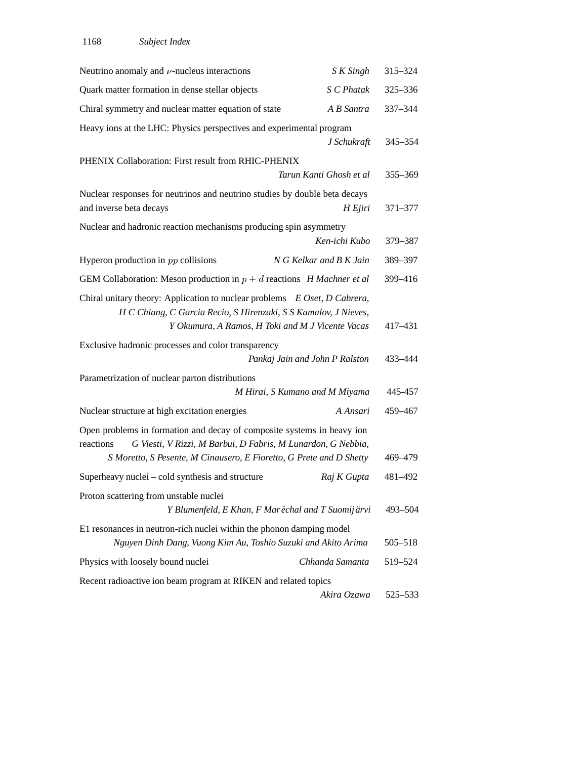| Neutrino anomaly and $\nu$ -nucleus interactions                                                                                                                                                                           | S K Singh                                          | 315-324 |
|----------------------------------------------------------------------------------------------------------------------------------------------------------------------------------------------------------------------------|----------------------------------------------------|---------|
| Quark matter formation in dense stellar objects                                                                                                                                                                            | S C Phatak                                         | 325-336 |
| Chiral symmetry and nuclear matter equation of state                                                                                                                                                                       | A B Santra                                         | 337-344 |
| Heavy ions at the LHC: Physics perspectives and experimental program                                                                                                                                                       | J Schukraft                                        | 345-354 |
| PHENIX Collaboration: First result from RHIC-PHENIX                                                                                                                                                                        | Tarun Kanti Ghosh et al                            | 355-369 |
| Nuclear responses for neutrinos and neutrino studies by double beta decays<br>and inverse beta decays                                                                                                                      | H Ejiri                                            | 371-377 |
| Nuclear and hadronic reaction mechanisms producing spin asymmetry                                                                                                                                                          | Ken-ichi Kubo                                      | 379-387 |
| Hyperon production in $pp$ collisions                                                                                                                                                                                      | N G Kelkar and B K Jain                            | 389-397 |
| GEM Collaboration: Meson production in $p + d$ reactions H Machner et al                                                                                                                                                   |                                                    | 399-416 |
| Chiral unitary theory: Application to nuclear problems E Oset, D Cabrera,<br>H C Chiang, C Garcia Recio, S Hirenzaki, S S Kamalov, J Nieves,                                                                               | Y Okumura, A Ramos, H Toki and M J Vicente Vacas   | 417-431 |
| Exclusive hadronic processes and color transparency                                                                                                                                                                        | Pankaj Jain and John P Ralston                     | 433-444 |
| Parametrization of nuclear parton distributions                                                                                                                                                                            | M Hirai, S Kumano and M Miyama                     | 445-457 |
| Nuclear structure at high excitation energies                                                                                                                                                                              | A Ansari                                           | 459-467 |
| Open problems in formation and decay of composite systems in heavy ion<br>reactions<br>G Viesti, V Rizzi, M Barbui, D Fabris, M Lunardon, G Nebbia,<br>S Moretto, S Pesente, M Cinausero, E Fioretto, G Prete and D Shetty |                                                    | 469–479 |
| Superheavy nuclei - cold synthesis and structure                                                                                                                                                                           | Raj K Gupta                                        | 481-492 |
| Proton scattering from unstable nuclei                                                                                                                                                                                     | Y Blumenfeld, E Khan, F Mar échal and T Suomijärvi | 493-504 |
| E1 resonances in neutron-rich nuclei within the phonon damping model<br>Nguyen Dinh Dang, Vuong Kim Au, Toshio Suzuki and Akito Arima                                                                                      |                                                    | 505-518 |
| Physics with loosely bound nuclei                                                                                                                                                                                          | Chhanda Samanta                                    | 519-524 |
| Recent radioactive ion beam program at RIKEN and related topics                                                                                                                                                            | Akira Ozawa                                        | 525–533 |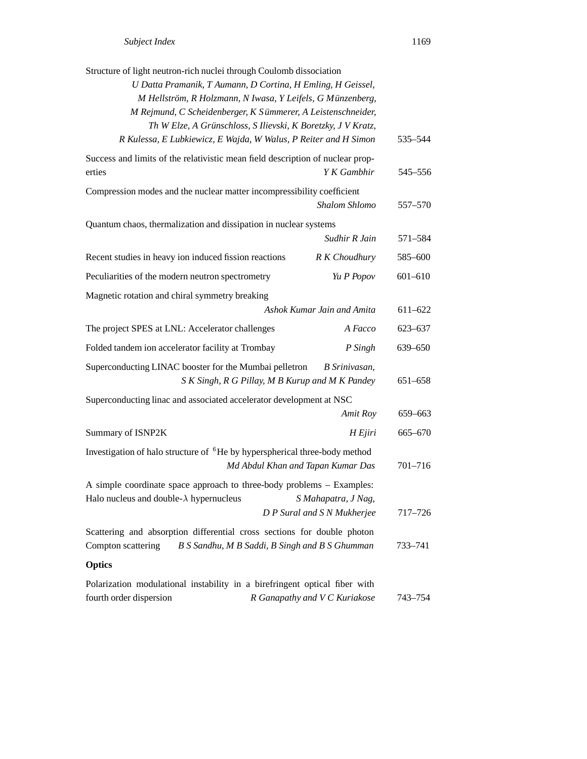| Structure of light neutron-rich nuclei through Coulomb dissociation                                                      |                                                                  |             |
|--------------------------------------------------------------------------------------------------------------------------|------------------------------------------------------------------|-------------|
| U Datta Pramanik, T Aumann, D Cortina, H Emling, H Geissel,                                                              |                                                                  |             |
| M Hellström, R Holzmann, N Iwasa, Y Leifels, G Münzenberg,                                                               |                                                                  |             |
| M Rejmund, C Scheidenberger, K Sümmerer, A Leistenschneider,                                                             |                                                                  |             |
| Th W Elze, A Grünschloss, S Ilievski, K Boretzky, J V Kratz,                                                             |                                                                  |             |
| R Kulessa, E Lubkiewicz, E Wajda, W Walus, P Reiter and H Simon                                                          |                                                                  | 535-544     |
| Success and limits of the relativistic mean field description of nuclear prop-<br>erties                                 | Y K Gambhir                                                      | 545-556     |
| Compression modes and the nuclear matter incompressibility coefficient                                                   | Shalom Shlomo                                                    | 557-570     |
| Quantum chaos, thermalization and dissipation in nuclear systems                                                         |                                                                  |             |
|                                                                                                                          | Sudhir R Jain                                                    | 571-584     |
| Recent studies in heavy ion induced fission reactions                                                                    | R K Choudhury                                                    | 585-600     |
| Peculiarities of the modern neutron spectrometry                                                                         | Yu P Popov                                                       | $601 - 610$ |
| Magnetic rotation and chiral symmetry breaking                                                                           |                                                                  |             |
|                                                                                                                          | Ashok Kumar Jain and Amita                                       | $611 - 622$ |
| The project SPES at LNL: Accelerator challenges                                                                          | A Facco                                                          | 623-637     |
| Folded tandem ion accelerator facility at Trombay                                                                        | P Singh                                                          | 639-650     |
| Superconducting LINAC booster for the Mumbai pelletron                                                                   | B Srinivasan,<br>S K Singh, R G Pillay, M B Kurup and M K Pandey | 651-658     |
| Superconducting linac and associated accelerator development at NSC                                                      |                                                                  |             |
|                                                                                                                          | Amit Roy                                                         | 659-663     |
| Summary of ISNP2K                                                                                                        | H Ejiri                                                          | 665-670     |
| Investigation of halo structure of <sup>6</sup> He by hyperspherical three-body method                                   |                                                                  |             |
|                                                                                                                          | Md Abdul Khan and Tapan Kumar Das                                | 701-716     |
| A simple coordinate space approach to three-body problems - Examples:<br>Halo nucleus and double- $\lambda$ hypernucleus |                                                                  |             |
|                                                                                                                          | S Mahapatra, J Nag,<br>D P Sural and S N Mukherjee               | 717–726     |
| Scattering and absorption differential cross sections for double photon                                                  |                                                                  |             |
| Compton scattering                                                                                                       | B S Sandhu, M B Saddi, B Singh and B S Ghumman                   | 733–741     |
| <b>Optics</b>                                                                                                            |                                                                  |             |
| Polarization modulational instability in a birefringent optical fiber with                                               |                                                                  |             |
| fourth order dispersion                                                                                                  | R Ganapathy and V C Kuriakose                                    | 743–754     |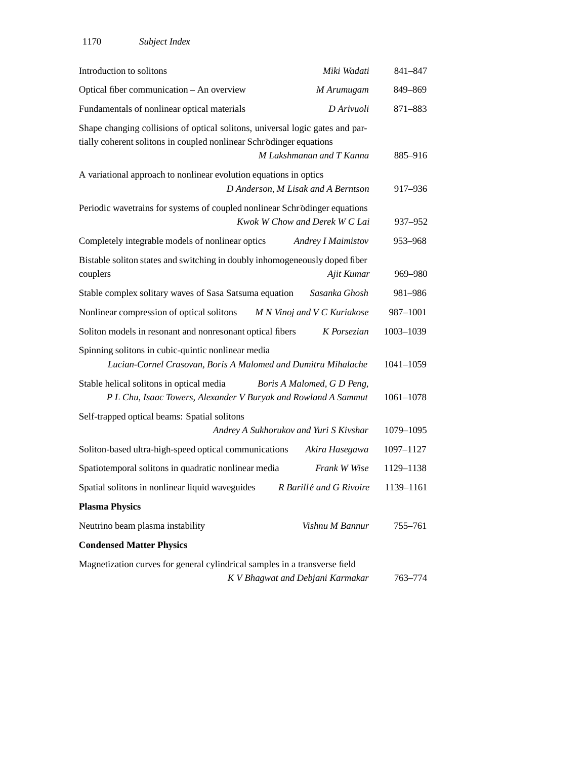| Introduction to solitons                                                                                                                             | Miki Wadati                        | 841-847   |
|------------------------------------------------------------------------------------------------------------------------------------------------------|------------------------------------|-----------|
| Optical fiber communication - An overview                                                                                                            | M Arumugam                         | 849-869   |
| Fundamentals of nonlinear optical materials                                                                                                          | D Arivuoli                         | 871-883   |
| Shape changing collisions of optical solitons, universal logic gates and par-<br>tially coherent solitons in coupled nonlinear Schrödinger equations | M Lakshmanan and T Kanna           | 885-916   |
| A variational approach to nonlinear evolution equations in optics                                                                                    |                                    |           |
|                                                                                                                                                      | D Anderson, M Lisak and A Berntson | 917-936   |
| Periodic wavetrains for systems of coupled nonlinear Schrödinger equations                                                                           | Kwok W Chow and Derek W C Lai      | 937-952   |
| Completely integrable models of nonlinear optics                                                                                                     | <b>Andrey I Maimistov</b>          | 953-968   |
| Bistable soliton states and switching in doubly inhomogeneously doped fiber<br>couplers                                                              | Ajit Kumar                         | 969-980   |
| Stable complex solitary waves of Sasa Satsuma equation                                                                                               | Sasanka Ghosh                      | 981-986   |
| Nonlinear compression of optical solitons                                                                                                            | M N Vinoj and V C Kuriakose        | 987-1001  |
| Soliton models in resonant and nonresonant optical fibers                                                                                            | K Porsezian                        | 1003-1039 |
| Spinning solitons in cubic-quintic nonlinear media<br>Lucian-Cornel Crasovan, Boris A Malomed and Dumitru Mihalache                                  |                                    | 1041-1059 |
| Stable helical solitons in optical media<br>P L Chu, Isaac Towers, Alexander V Buryak and Rowland A Sammut                                           | Boris A Malomed, G D Peng,         | 1061-1078 |
| Self-trapped optical beams: Spatial solitons                                                                                                         |                                    |           |
| Andrey A Sukhorukov and Yuri S Kivshar                                                                                                               |                                    | 1079-1095 |
| Soliton-based ultra-high-speed optical communications                                                                                                | Akira Hasegawa                     | 1097-1127 |
| Spatiotemporal solitons in quadratic nonlinear media                                                                                                 | Frank W Wise                       | 1129-1138 |
| Spatial solitons in nonlinear liquid waveguides                                                                                                      | R Barillé and G Rivoire            | 1139-1161 |
| <b>Plasma Physics</b>                                                                                                                                |                                    |           |
| Neutrino beam plasma instability                                                                                                                     | Vishnu M Bannur                    | 755-761   |
| <b>Condensed Matter Physics</b>                                                                                                                      |                                    |           |
| Magnetization curves for general cylindrical samples in a transverse field                                                                           | K V Bhagwat and Debjani Karmakar   | 763–774   |
|                                                                                                                                                      |                                    |           |